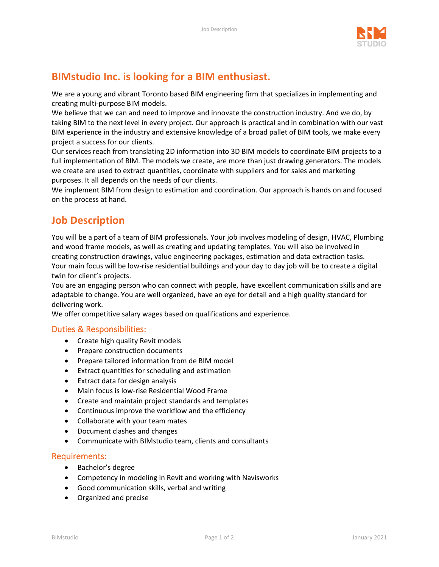

# **BIMstudio Inc. is looking for a BIM enthusiast.**

We are a young and vibrant Toronto based BIM engineering firm that specializes in implementing and creating multi-purpose BIM models.

We believe that we can and need to improve and innovate the construction industry. And we do, by taking BIM to the next level in every project. Our approach is practical and in combination with our vast BIM experience in the industry and extensive knowledge of a broad pallet of BIM tools, we make every project a success for our clients.

Our services reach from translating 2D information into 3D BIM models to coordinate BIM projects to a full implementation of BIM. The models we create, are more than just drawing generators. The models we create are used to extract quantities, coordinate with suppliers and for sales and marketing purposes. It all depends on the needs of our clients.

We implement BIM from design to estimation and coordination. Our approach is hands on and focused on the process at hand.

## **Job Description**

You will be a part of a team of BIM professionals. Your job involves modeling of design, HVAC, Plumbing and wood frame models, as well as creating and updating templates. You will also be involved in creating construction drawings, value engineering packages, estimation and data extraction tasks. Your main focus will be low-rise residential buildings and your day to day job will be to create a digital twin for client's projects.

You are an engaging person who can connect with people, have excellent communication skills and are adaptable to change. You are well organized, have an eye for detail and a high quality standard for delivering work.

We offer competitive salary wages based on qualifications and experience.

#### Duties & Responsibilities:

- Create high quality Revit models
- Prepare construction documents
- Prepare tailored information from de BIM model
- Extract quantities for scheduling and estimation
- Extract data for design analysis
- Main focus is low-rise Residential Wood Frame
- Create and maintain project standards and templates
- Continuous improve the workflow and the efficiency
- Collaborate with your team mates
- Document clashes and changes
- Communicate with BIMstudio team, clients and consultants

#### Requirements:

- Bachelor's degree
- Competency in modeling in Revit and working with Navisworks
- Good communication skills, verbal and writing
- Organized and precise